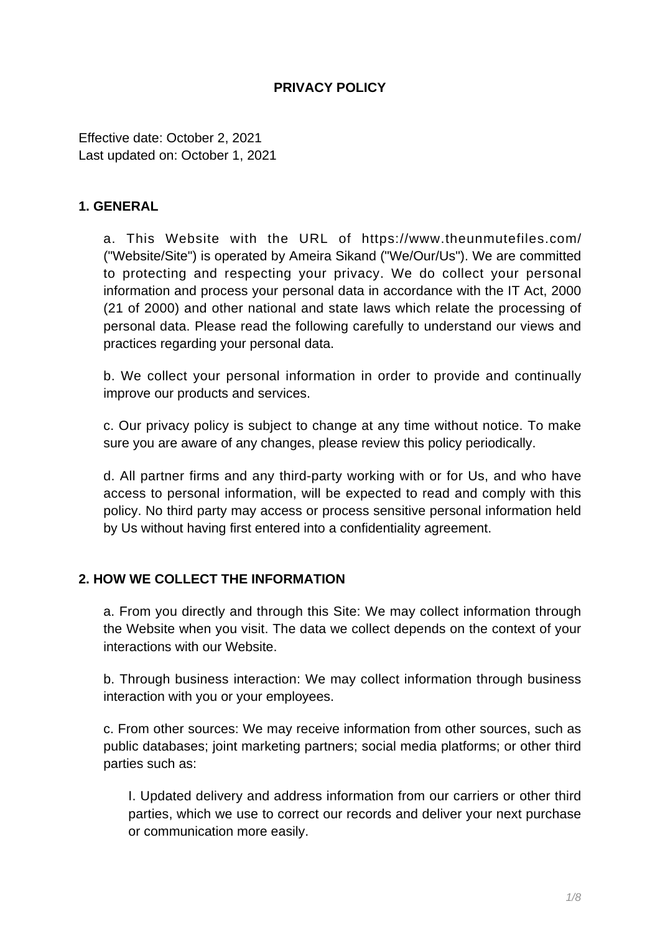# **PRIVACY POLICY**

Effective date: October 2, 2021 Last updated on: October 1, 2021

#### **1. GENERAL**

a. This Website with the URL of https://www.theunmutefiles.com/ ("Website/Site") is operated by Ameira Sikand ("We/Our/Us"). We are committed to protecting and respecting your privacy. We do collect your personal information and process your personal data in accordance with the IT Act, 2000 (21 of 2000) and other national and state laws which relate the processing of personal data. Please read the following carefully to understand our views and practices regarding your personal data.

b. We collect your personal information in order to provide and continually improve our products and services.

c. Our privacy policy is subject to change at any time without notice. To make sure you are aware of any changes, please review this policy periodically.

d. All partner firms and any third-party working with or for Us, and who have access to personal information, will be expected to read and comply with this policy. No third party may access or process sensitive personal information held by Us without having first entered into a confidentiality agreement.

## **2. HOW WE COLLECT THE INFORMATION**

a. From you directly and through this Site: We may collect information through the Website when you visit. The data we collect depends on the context of your interactions with our Website.

b. Through business interaction: We may collect information through business interaction with you or your employees.

c. From other sources: We may receive information from other sources, such as public databases; joint marketing partners; social media platforms; or other third parties such as:

I. Updated delivery and address information from our carriers or other third parties, which we use to correct our records and deliver your next purchase or communication more easily.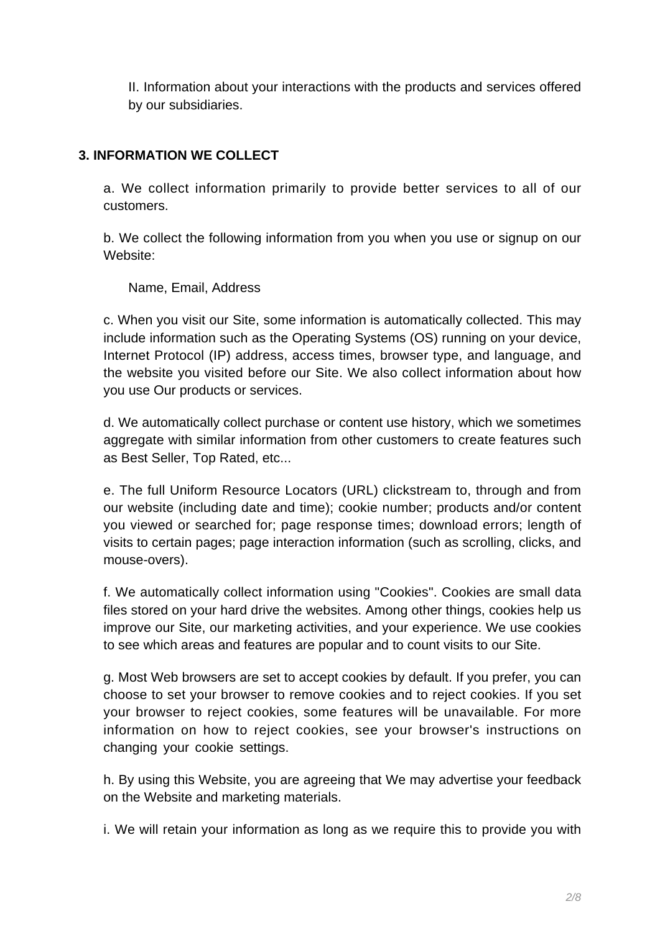II. Information about your interactions with the products and services offered by our subsidiaries.

# **3. INFORMATION WE COLLECT**

a. We collect information primarily to provide better services to all of our customers.

b. We collect the following information from you when you use or signup on our Website:

Name, Email, Address

c. When you visit our Site, some information is automatically collected. This may include information such as the Operating Systems (OS) running on your device, Internet Protocol (IP) address, access times, browser type, and language, and the website you visited before our Site. We also collect information about how you use Our products or services.

d. We automatically collect purchase or content use history, which we sometimes aggregate with similar information from other customers to create features such as Best Seller, Top Rated, etc...

e. The full Uniform Resource Locators (URL) clickstream to, through and from our website (including date and time); cookie number; products and/or content you viewed or searched for; page response times; download errors; length of visits to certain pages; page interaction information (such as scrolling, clicks, and mouse-overs).

f. We automatically collect information using "Cookies". Cookies are small data files stored on your hard drive the websites. Among other things, cookies help us improve our Site, our marketing activities, and your experience. We use cookies to see which areas and features are popular and to count visits to our Site.

g. Most Web browsers are set to accept cookies by default. If you prefer, you can choose to set your browser to remove cookies and to reject cookies. If you set your browser to reject cookies, some features will be unavailable. For more information on how to reject cookies, see your browser's instructions on changing your cookie settings.

h. By using this Website, you are agreeing that We may advertise your feedback on the Website and marketing materials.

i. We will retain your information as long as we require this to provide you with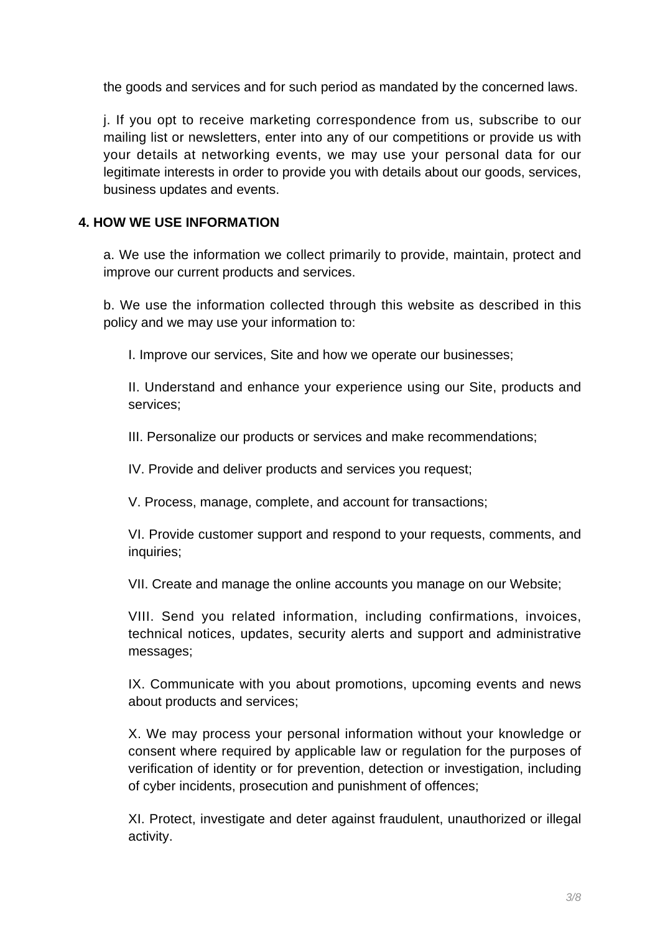the goods and services and for such period as mandated by the concerned laws.

j. If you opt to receive marketing correspondence from us, subscribe to our mailing list or newsletters, enter into any of our competitions or provide us with your details at networking events, we may use your personal data for our legitimate interests in order to provide you with details about our goods, services, business updates and events.

## **4. HOW WE USE INFORMATION**

a. We use the information we collect primarily to provide, maintain, protect and improve our current products and services.

b. We use the information collected through this website as described in this policy and we may use your information to:

I. Improve our services, Site and how we operate our businesses;

II. Understand and enhance your experience using our Site, products and services;

III. Personalize our products or services and make recommendations;

IV. Provide and deliver products and services you request;

V. Process, manage, complete, and account for transactions;

VI. Provide customer support and respond to your requests, comments, and inquiries;

VII. Create and manage the online accounts you manage on our Website;

VIII. Send you related information, including confirmations, invoices, technical notices, updates, security alerts and support and administrative messages;

IX. Communicate with you about promotions, upcoming events and news about products and services;

X. We may process your personal information without your knowledge or consent where required by applicable law or regulation for the purposes of verification of identity or for prevention, detection or investigation, including of cyber incidents, prosecution and punishment of offences;

XI. Protect, investigate and deter against fraudulent, unauthorized or illegal activity.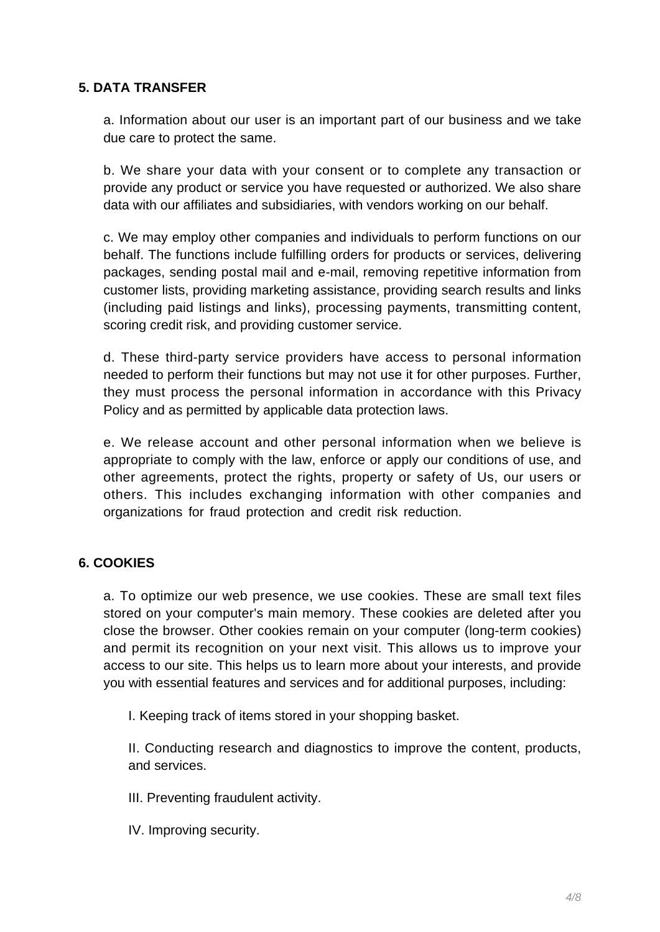# **5. DATA TRANSFER**

a. Information about our user is an important part of our business and we take due care to protect the same.

b. We share your data with your consent or to complete any transaction or provide any product or service you have requested or authorized. We also share data with our affiliates and subsidiaries, with vendors working on our behalf.

c. We may employ other companies and individuals to perform functions on our behalf. The functions include fulfilling orders for products or services, delivering packages, sending postal mail and e-mail, removing repetitive information from customer lists, providing marketing assistance, providing search results and links (including paid listings and links), processing payments, transmitting content, scoring credit risk, and providing customer service.

d. These third-party service providers have access to personal information needed to perform their functions but may not use it for other purposes. Further, they must process the personal information in accordance with this Privacy Policy and as permitted by applicable data protection laws.

e. We release account and other personal information when we believe is appropriate to comply with the law, enforce or apply our conditions of use, and other agreements, protect the rights, property or safety of Us, our users or others. This includes exchanging information with other companies and organizations for fraud protection and credit risk reduction.

## **6. COOKIES**

a. To optimize our web presence, we use cookies. These are small text files stored on your computer's main memory. These cookies are deleted after you close the browser. Other cookies remain on your computer (long-term cookies) and permit its recognition on your next visit. This allows us to improve your access to our site. This helps us to learn more about your interests, and provide you with essential features and services and for additional purposes, including:

I. Keeping track of items stored in your shopping basket.

II. Conducting research and diagnostics to improve the content, products, and services.

III. Preventing fraudulent activity.

IV. Improving security.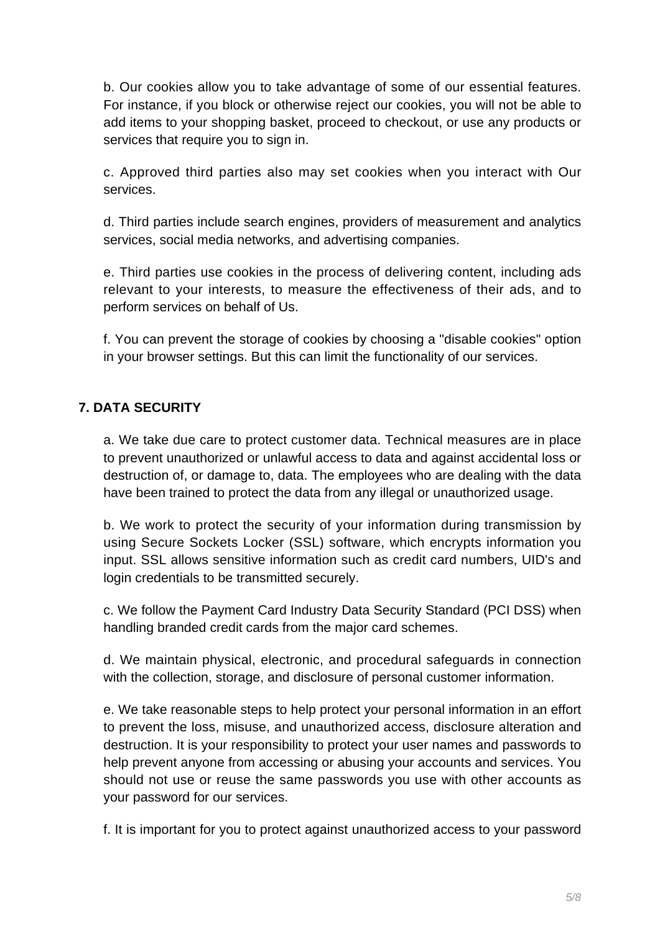b. Our cookies allow you to take advantage of some of our essential features. For instance, if you block or otherwise reject our cookies, you will not be able to add items to your shopping basket, proceed to checkout, or use any products or services that require you to sign in.

c. Approved third parties also may set cookies when you interact with Our services.

d. Third parties include search engines, providers of measurement and analytics services, social media networks, and advertising companies.

e. Third parties use cookies in the process of delivering content, including ads relevant to your interests, to measure the effectiveness of their ads, and to perform services on behalf of Us.

f. You can prevent the storage of cookies by choosing a "disable cookies" option in your browser settings. But this can limit the functionality of our services.

# **7. DATA SECURITY**

a. We take due care to protect customer data. Technical measures are in place to prevent unauthorized or unlawful access to data and against accidental loss or destruction of, or damage to, data. The employees who are dealing with the data have been trained to protect the data from any illegal or unauthorized usage.

b. We work to protect the security of your information during transmission by using Secure Sockets Locker (SSL) software, which encrypts information you input. SSL allows sensitive information such as credit card numbers, UID's and login credentials to be transmitted securely.

c. We follow the Payment Card Industry Data Security Standard (PCI DSS) when handling branded credit cards from the major card schemes.

d. We maintain physical, electronic, and procedural safeguards in connection with the collection, storage, and disclosure of personal customer information.

e. We take reasonable steps to help protect your personal information in an effort to prevent the loss, misuse, and unauthorized access, disclosure alteration and destruction. It is your responsibility to protect your user names and passwords to help prevent anyone from accessing or abusing your accounts and services. You should not use or reuse the same passwords you use with other accounts as your password for our services.

f. It is important for you to protect against unauthorized access to your password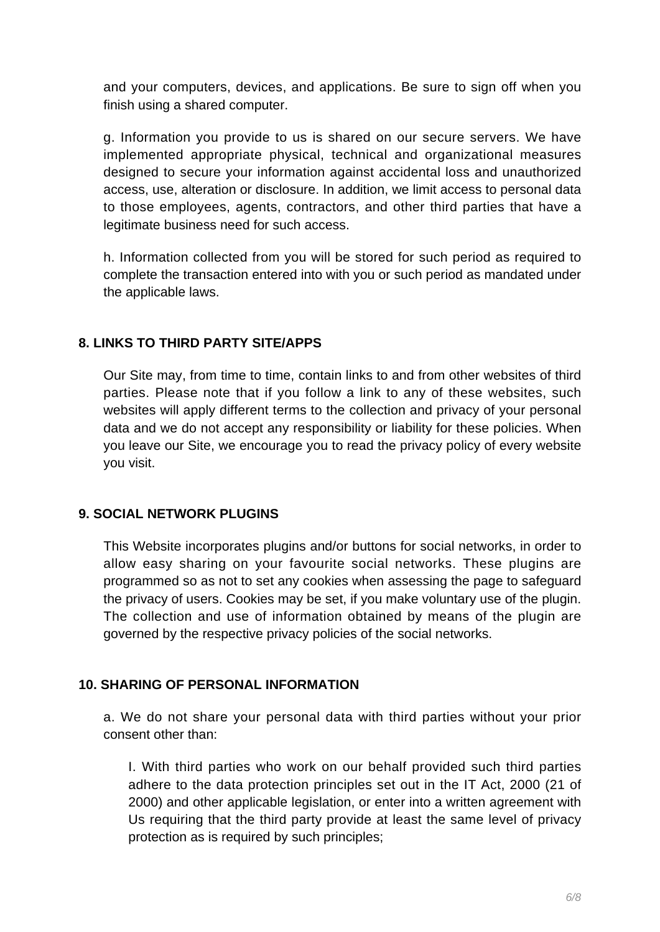and your computers, devices, and applications. Be sure to sign off when you finish using a shared computer.

g. Information you provide to us is shared on our secure servers. We have implemented appropriate physical, technical and organizational measures designed to secure your information against accidental loss and unauthorized access, use, alteration or disclosure. In addition, we limit access to personal data to those employees, agents, contractors, and other third parties that have a legitimate business need for such access.

h. Information collected from you will be stored for such period as required to complete the transaction entered into with you or such period as mandated under the applicable laws.

# **8. LINKS TO THIRD PARTY SITE/APPS**

Our Site may, from time to time, contain links to and from other websites of third parties. Please note that if you follow a link to any of these websites, such websites will apply different terms to the collection and privacy of your personal data and we do not accept any responsibility or liability for these policies. When you leave our Site, we encourage you to read the privacy policy of every website you visit.

## **9. SOCIAL NETWORK PLUGINS**

This Website incorporates plugins and/or buttons for social networks, in order to allow easy sharing on your favourite social networks. These plugins are programmed so as not to set any cookies when assessing the page to safeguard the privacy of users. Cookies may be set, if you make voluntary use of the plugin. The collection and use of information obtained by means of the plugin are governed by the respective privacy policies of the social networks.

## **10. SHARING OF PERSONAL INFORMATION**

a. We do not share your personal data with third parties without your prior consent other than:

I. With third parties who work on our behalf provided such third parties adhere to the data protection principles set out in the IT Act, 2000 (21 of 2000) and other applicable legislation, or enter into a written agreement with Us requiring that the third party provide at least the same level of privacy protection as is required by such principles;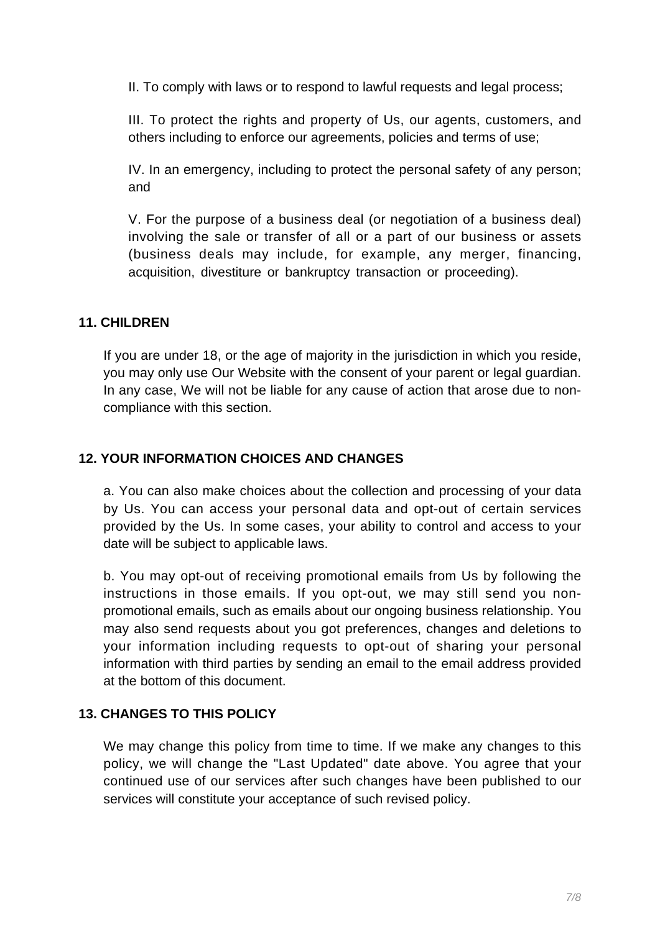II. To comply with laws or to respond to lawful requests and legal process;

III. To protect the rights and property of Us, our agents, customers, and others including to enforce our agreements, policies and terms of use;

IV. In an emergency, including to protect the personal safety of any person; and

V. For the purpose of a business deal (or negotiation of a business deal) involving the sale or transfer of all or a part of our business or assets (business deals may include, for example, any merger, financing, acquisition, divestiture or bankruptcy transaction or proceeding).

## **11. CHILDREN**

If you are under 18, or the age of majority in the jurisdiction in which you reside, you may only use Our Website with the consent of your parent or legal guardian. In any case, We will not be liable for any cause of action that arose due to noncompliance with this section.

# **12. YOUR INFORMATION CHOICES AND CHANGES**

a. You can also make choices about the collection and processing of your data by Us. You can access your personal data and opt-out of certain services provided by the Us. In some cases, your ability to control and access to your date will be subject to applicable laws.

b. You may opt-out of receiving promotional emails from Us by following the instructions in those emails. If you opt-out, we may still send you nonpromotional emails, such as emails about our ongoing business relationship. You may also send requests about you got preferences, changes and deletions to your information including requests to opt-out of sharing your personal information with third parties by sending an email to the email address provided at the bottom of this document.

# **13. CHANGES TO THIS POLICY**

We may change this policy from time to time. If we make any changes to this policy, we will change the "Last Updated" date above. You agree that your continued use of our services after such changes have been published to our services will constitute your acceptance of such revised policy.